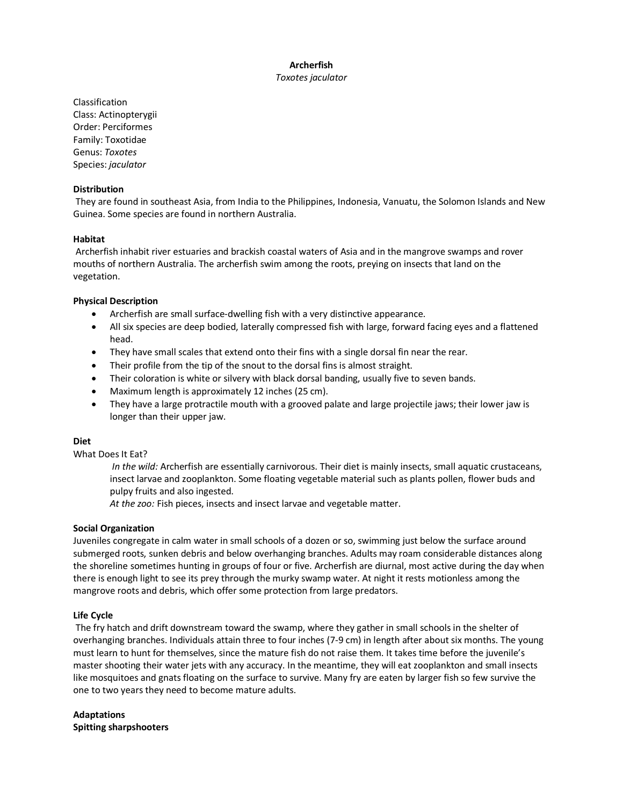## **Archerfish** *Toxotes jaculator*

Classification Class: Actinopterygii Order: Perciformes Family: Toxotidae Genus: *Toxotes* Species: *jaculator*

### **Distribution**

They are found in southeast Asia, from India to the Philippines, Indonesia, Vanuatu, the Solomon Islands and New Guinea. Some species are found in northern Australia.

### **Habitat**

Archerfish inhabit river estuaries and brackish coastal waters of Asia and in the mangrove swamps and rover mouths of northern Australia. The archerfish swim among the roots, preying on insects that land on the vegetation.

## **Physical Description**

- Archerfish are small surface-dwelling fish with a very distinctive appearance.
- All six species are deep bodied, laterally compressed fish with large, forward facing eyes and a flattened head.
- They have small scales that extend onto their fins with a single dorsal fin near the rear.
- Their profile from the tip of the snout to the dorsal fins is almost straight.
- Their coloration is white or silvery with black dorsal banding, usually five to seven bands.
- Maximum length is approximately 12 inches (25 cm).
- They have a large protractile mouth with a grooved palate and large projectile jaws; their lower jaw is longer than their upper jaw.

## **Diet**

What Does It Eat?

*In the wild:* Archerfish are essentially carnivorous. Their diet is mainly insects, small aquatic crustaceans, insect larvae and zooplankton. Some floating vegetable material such as plants pollen, flower buds and pulpy fruits and also ingested.

*At the zoo:* Fish pieces, insects and insect larvae and vegetable matter.

#### **Social Organization**

Juveniles congregate in calm water in small schools of a dozen or so, swimming just below the surface around submerged roots, sunken debris and below overhanging branches. Adults may roam considerable distances along the shoreline sometimes hunting in groups of four or five. Archerfish are diurnal, most active during the day when there is enough light to see its prey through the murky swamp water. At night it rests motionless among the mangrove roots and debris, which offer some protection from large predators.

#### **Life Cycle**

The fry hatch and drift downstream toward the swamp, where they gather in small schools in the shelter of overhanging branches. Individuals attain three to four inches (7-9 cm) in length after about six months. The young must learn to hunt for themselves, since the mature fish do not raise them. It takes time before the juvenile's master shooting their water jets with any accuracy. In the meantime, they will eat zooplankton and small insects like mosquitoes and gnats floating on the surface to survive. Many fry are eaten by larger fish so few survive the one to two years they need to become mature adults.

**Adaptations Spitting sharpshooters**